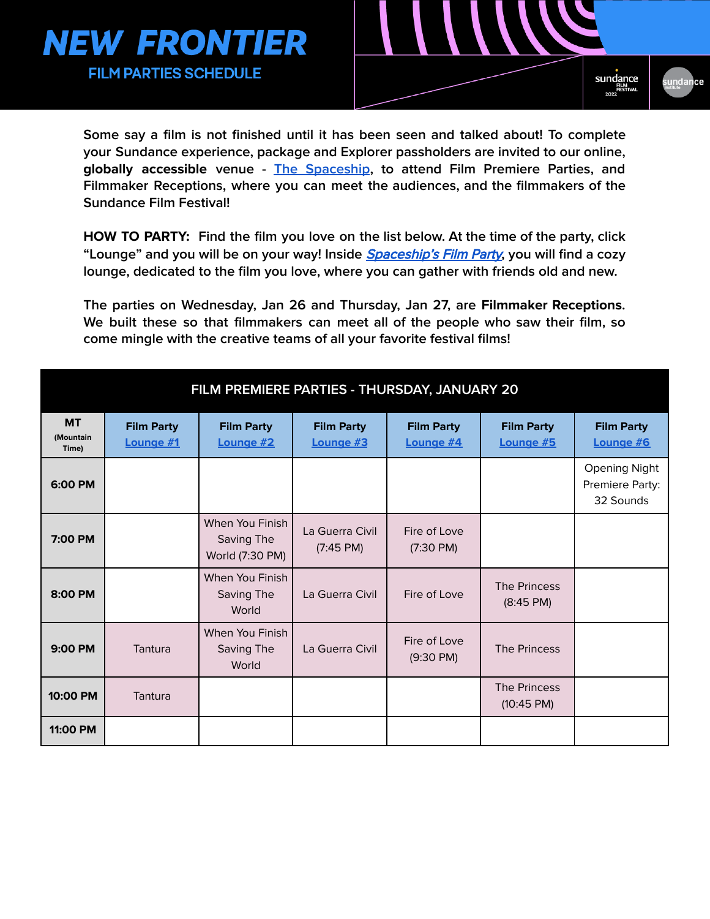



**Some say a film is not finished until it has been seen and talked about! To complete your Sundance experience, package and Explorer passholders are invited to our online, globally accessible venue - The [Spaceship](http://newfrontier.sundance.org), to attend Film Premiere Parties, and Filmmaker Receptions, where you can meet the audiences, and the filmmakers of the Sundance Film Festival!**

**HOW TO PARTY: Find the film you love on the list below. At the time of the party, click "Lounge" and you will be on your way! Inside** [Spaceship's](https://newfrontier.sundance.org/) Film Party**, you will find a cozy lounge, dedicated to the film you love, where you can gather with friends old and new.**

**The parties on Wednesday, Jan 26 and Thursday, Jan 27, are Filmmaker Receptions. We built these so that filmmakers can meet all of the people who saw their film, so come mingle with the creative teams of all your favorite festival films!**

| FILM PREMIERE PARTIES - THURSDAY, JANUARY 20 |                                |                                                  |                                        |                                     |                                      |                                                      |  |
|----------------------------------------------|--------------------------------|--------------------------------------------------|----------------------------------------|-------------------------------------|--------------------------------------|------------------------------------------------------|--|
| <b>MT</b><br>(Mountain<br>Time)              | <b>Film Party</b><br>Lounge #1 | <b>Film Party</b><br>Lounge #2                   | <b>Film Party</b><br>Lounge #3         | <b>Film Party</b><br>Lounge #4      | <b>Film Party</b><br>Lounge #5       | <b>Film Party</b><br>Lounge #6                       |  |
| 6:00 PM                                      |                                |                                                  |                                        |                                     |                                      | <b>Opening Night</b><br>Premiere Party:<br>32 Sounds |  |
| 7:00 PM                                      |                                | When You Finish<br>Saving The<br>World (7:30 PM) | La Guerra Civil<br>$(7:45 \text{ PM})$ | Fire of Love<br>$(7:30 \text{ PM})$ |                                      |                                                      |  |
| 8:00 PM                                      |                                | When You Finish<br>Saving The<br>World           | La Guerra Civil                        | Fire of Love                        | The Princess<br>$(8:45 \text{ PM})$  |                                                      |  |
| 9:00 PM                                      | Tantura                        | When You Finish<br>Saving The<br>World           | La Guerra Civil                        | Fire of Love<br>$(9:30 \text{ PM})$ | The Princess                         |                                                      |  |
| 10:00 PM                                     | Tantura                        |                                                  |                                        |                                     | The Princess<br>$(10:45 \text{ PM})$ |                                                      |  |
| 11:00 PM                                     |                                |                                                  |                                        |                                     |                                      |                                                      |  |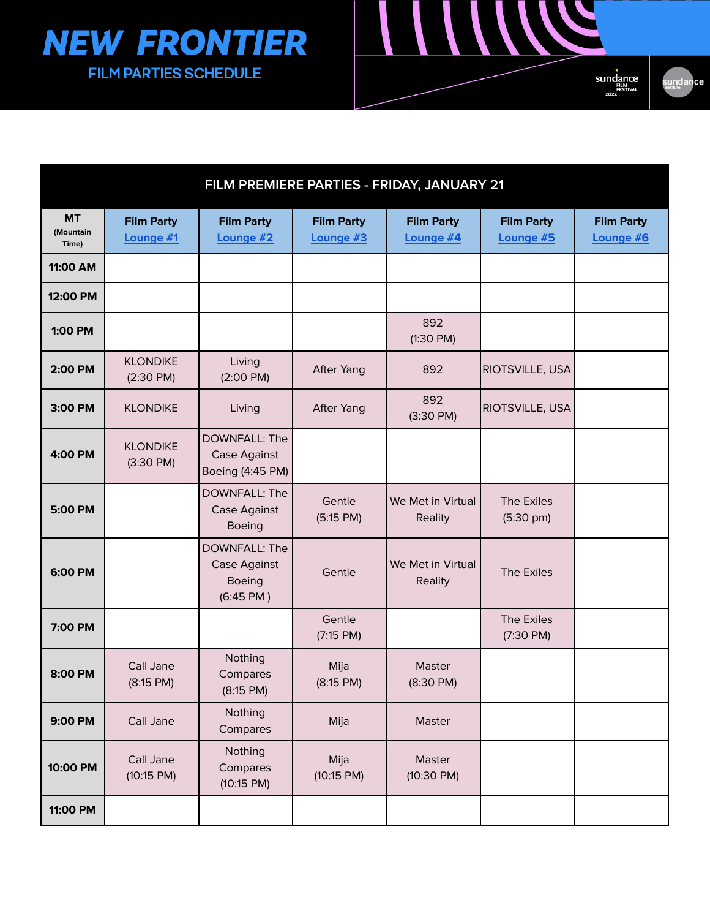

| FILM PREMIERE PARTIES - FRIDAY, JANUARY 21 |                                        |                                                                       |                                |                                |                                   |                                |  |
|--------------------------------------------|----------------------------------------|-----------------------------------------------------------------------|--------------------------------|--------------------------------|-----------------------------------|--------------------------------|--|
| <b>MT</b><br>(Mountain<br>Time)            | <b>Film Party</b><br>Lounge #1         | <b>Film Party</b><br>Lounge #2                                        | <b>Film Party</b><br>Lounge #3 | <b>Film Party</b><br>Lounge #4 | <b>Film Party</b><br>Lounge #5    | <b>Film Party</b><br>Lounge #6 |  |
| 11:00 AM                                   |                                        |                                                                       |                                |                                |                                   |                                |  |
| 12:00 PM                                   |                                        |                                                                       |                                |                                |                                   |                                |  |
| 1:00 PM                                    |                                        |                                                                       |                                | 892<br>$(1:30 \text{ PM})$     |                                   |                                |  |
| 2:00 PM                                    | <b>KLONDIKE</b><br>$(2:30 \text{ PM})$ | Living<br>$(2:00 \text{ PM})$                                         | <b>After Yang</b>              | 892                            | RIOTSVILLE, USA                   |                                |  |
| 3:00 PM                                    | <b>KLONDIKE</b>                        | Living                                                                | <b>After Yang</b>              | 892<br>$(3:30 \text{ PM})$     | <b>RIOTSVILLE, USA</b>            |                                |  |
| 4:00 PM                                    | <b>KLONDIKE</b><br>$(3:30 \text{ PM})$ | DOWNFALL: The<br>Case Against<br>Boeing (4:45 PM)                     |                                |                                |                                   |                                |  |
| 5:00 PM                                    |                                        | DOWNFALL: The<br>Case Against<br><b>Boeing</b>                        | Gentle<br>(5:15 PM)            | We Met in Virtual<br>Reality   | The Exiles<br>$(5:30 \text{ pm})$ |                                |  |
| 6:00 PM                                    |                                        | DOWNFALL: The<br>Case Against<br><b>Boeing</b><br>$(6:45 \text{ PM})$ | Gentle                         | We Met in Virtual<br>Reality   | The Exiles                        |                                |  |
| 7:00 PM                                    |                                        |                                                                       | Gentle<br>(7:15 PM)            |                                | The Exiles<br>$(7:30 \text{ PM})$ |                                |  |
| 8:00 PM                                    | Call Jane<br>$(8:15$ PM)               | Nothing<br>Compares<br>(8:15 PM)                                      | Mija<br>$(8:15$ PM)            | <b>Master</b><br>(8:30 P M)    |                                   |                                |  |
| 9:00 PM                                    | Call Jane                              | Nothing<br>Compares                                                   | Mija                           | Master                         |                                   |                                |  |
| 10:00 PM                                   | Call Jane<br>$(10:15 \text{ PM})$      | Nothing<br>Compares<br>$(10:15 \text{ PM})$                           | Mija<br>$(10:15 \text{ PM})$   | Master<br>$(10:30 \text{ PM})$ |                                   |                                |  |
| 11:00 PM                                   |                                        |                                                                       |                                |                                |                                   |                                |  |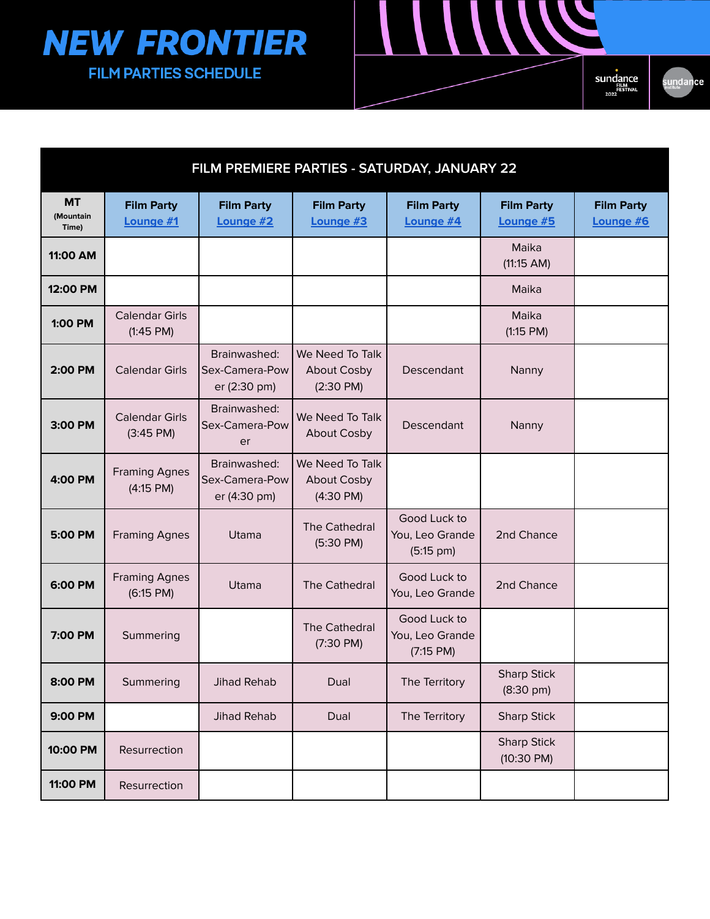

| FILM PREMIERE PARTIES - SATURDAY, JANUARY 22 |                                              |                                                |                                                              |                                                        |                                            |                                |
|----------------------------------------------|----------------------------------------------|------------------------------------------------|--------------------------------------------------------------|--------------------------------------------------------|--------------------------------------------|--------------------------------|
| <b>MT</b><br>(Mountain<br>Time)              | <b>Film Party</b><br>Lounge #1               | <b>Film Party</b><br>Lounge #2                 | <b>Film Party</b><br>Lounge #3                               | <b>Film Party</b><br>Lounge #4                         | <b>Film Party</b><br>Lounge #5             | <b>Film Party</b><br>Lounge #6 |
| 11:00 AM                                     |                                              |                                                |                                                              |                                                        | Maika<br>(11:15 AM)                        |                                |
| 12:00 PM                                     |                                              |                                                |                                                              |                                                        | Maika                                      |                                |
| 1:00 PM                                      | <b>Calendar Girls</b><br>(1:45 PM)           |                                                |                                                              |                                                        | Maika<br>(1:15 PM)                         |                                |
| 2:00 PM                                      | <b>Calendar Girls</b>                        | Brainwashed:<br>Sex-Camera-Pow<br>er (2:30 pm) | We Need To Talk<br><b>About Cosby</b><br>$(2:30 \text{ PM})$ | Descendant                                             | Nanny                                      |                                |
| 3:00 PM                                      | <b>Calendar Girls</b><br>$(3:45 \text{ PM})$ | Brainwashed:<br>Sex-Camera-Pow<br>er           | We Need To Talk<br><b>About Cosby</b>                        | Descendant                                             | Nanny                                      |                                |
| 4:00 PM                                      | <b>Framing Agnes</b><br>$(4:15$ PM)          | Brainwashed:<br>Sex-Camera-Pow<br>er (4:30 pm) | We Need To Talk<br><b>About Cosby</b><br>$(4:30 \text{ PM})$ |                                                        |                                            |                                |
| 5:00 PM                                      | <b>Framing Agnes</b>                         | Utama                                          | The Cathedral<br>$(5:30 \text{ PM})$                         | Good Luck to<br>You, Leo Grande<br>$(5:15 \text{ pm})$ | 2nd Chance                                 |                                |
| 6:00 PM                                      | <b>Framing Agnes</b><br>(6:15 PM)            | Utama                                          | <b>The Cathedral</b>                                         | Good Luck to<br>You, Leo Grande                        | 2nd Chance                                 |                                |
| 7:00 PM                                      | Summering                                    |                                                | <b>The Cathedral</b><br>$(7:30 \text{ PM})$                  | Good Luck to<br>You, Leo Grande<br>(7:15 PM)           |                                            |                                |
| 8:00 PM                                      | Summering                                    | <b>Jihad Rehab</b>                             | Dual                                                         | The Territory                                          | <b>Sharp Stick</b><br>$(8:30 \text{ pm})$  |                                |
| 9:00 PM                                      |                                              | Jihad Rehab                                    | Dual                                                         | The Territory                                          | <b>Sharp Stick</b>                         |                                |
| 10:00 PM                                     | Resurrection                                 |                                                |                                                              |                                                        | <b>Sharp Stick</b><br>$(10:30 \text{ PM})$ |                                |
| 11:00 PM                                     | Resurrection                                 |                                                |                                                              |                                                        |                                            |                                |

sundance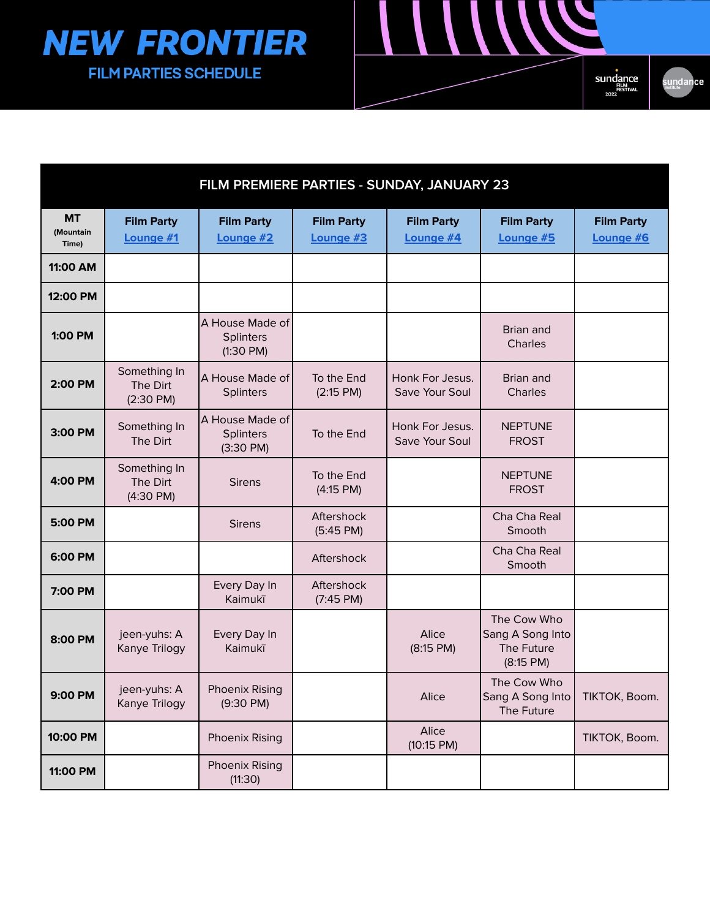



| FILM PREMIERE PARTIES - SUNDAY, JANUARY 23 |                                                 |                                                     |                                   |                                   |                                                              |                                |  |
|--------------------------------------------|-------------------------------------------------|-----------------------------------------------------|-----------------------------------|-----------------------------------|--------------------------------------------------------------|--------------------------------|--|
| <b>MT</b><br>(Mountain<br>Time)            | <b>Film Party</b><br>Lounge #1                  | <b>Film Party</b><br>Lounge #2                      | <b>Film Party</b><br>Lounge #3    | <b>Film Party</b><br>Lounge #4    | <b>Film Party</b><br>Lounge #5                               | <b>Film Party</b><br>Lounge #6 |  |
| 11:00 AM                                   |                                                 |                                                     |                                   |                                   |                                                              |                                |  |
| 12:00 PM                                   |                                                 |                                                     |                                   |                                   |                                                              |                                |  |
| 1:00 PM                                    |                                                 | A House Made of<br>Splinters<br>$(1:30$ PM $)$      |                                   |                                   | Brian and<br>Charles                                         |                                |  |
| 2:00 PM                                    | Something In<br>The Dirt<br>$(2:30 \text{ PM})$ | A House Made of<br>Splinters                        | To the End<br>(2:15 PM)           | Honk For Jesus.<br>Save Your Soul | <b>Brian and</b><br>Charles                                  |                                |  |
| 3:00 PM                                    | Something In<br>The Dirt                        | A House Made of<br>Splinters<br>$(3:30 \text{ PM})$ | To the End                        | Honk For Jesus.<br>Save Your Soul | <b>NEPTUNE</b><br><b>FROST</b>                               |                                |  |
| 4:00 PM                                    | Something In<br>The Dirt<br>$(4:30 \text{ PM})$ | <b>Sirens</b>                                       | To the End<br>(4:15 PM)           |                                   | <b>NEPTUNE</b><br><b>FROST</b>                               |                                |  |
| 5:00 PM                                    |                                                 | <b>Sirens</b>                                       | Aftershock<br>$(5:45 \text{ PM})$ |                                   | Cha Cha Real<br>Smooth                                       |                                |  |
| 6:00 PM                                    |                                                 |                                                     | Aftershock                        |                                   | Cha Cha Real<br>Smooth                                       |                                |  |
| 7:00 PM                                    |                                                 | Every Day In<br>Kaimukī                             | Aftershock<br>$(7:45 \text{ PM})$ |                                   |                                                              |                                |  |
| 8:00 PM                                    | jeen-yuhs: A<br>Kanye Trilogy                   | Every Day In<br>Kaimukī                             |                                   | Alice<br>$(8:15$ PM)              | The Cow Who<br>Sang A Song Into<br>The Future<br>$(8:15$ PM) |                                |  |
| 9:00 PM                                    | jeen-yuhs: A<br>Kanye Trilogy                   | <b>Phoenix Rising</b><br>$(9:30 \text{ PM})$        |                                   | Alice                             | The Cow Who<br>Sang A Song Into<br>The Future                | TIKTOK, Boom.                  |  |
| 10:00 PM                                   |                                                 | <b>Phoenix Rising</b>                               |                                   | Alice<br>$(10:15 \text{ PM})$     |                                                              | TIKTOK, Boom.                  |  |
| 11:00 PM                                   |                                                 | <b>Phoenix Rising</b><br>(11:30)                    |                                   |                                   |                                                              |                                |  |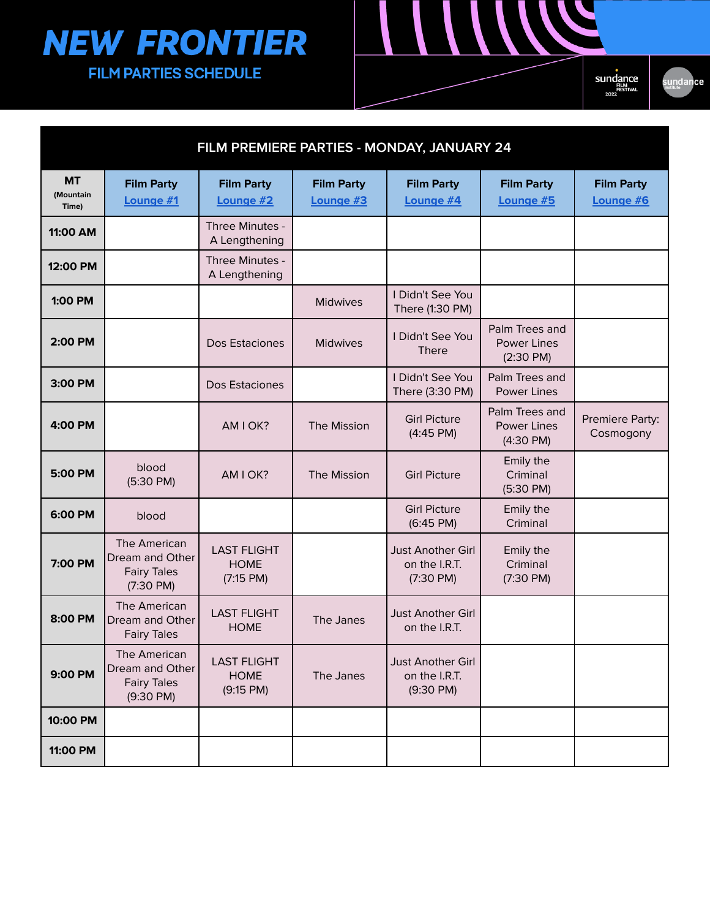

sundance

| FILM PREMIERE PARTIES - MONDAY, JANUARY 24 |                                                                              |                                                |                                |                                                                  |                                                             |                                |  |
|--------------------------------------------|------------------------------------------------------------------------------|------------------------------------------------|--------------------------------|------------------------------------------------------------------|-------------------------------------------------------------|--------------------------------|--|
| <b>MT</b><br>(Mountain<br>Time)            | <b>Film Party</b><br>Lounge #1                                               | <b>Film Party</b><br>Lounge #2                 | <b>Film Party</b><br>Lounge #3 | <b>Film Party</b><br>Lounge #4                                   | <b>Film Party</b><br>Lounge #5                              | <b>Film Party</b><br>Lounge #6 |  |
| 11:00 AM                                   |                                                                              | Three Minutes -<br>A Lengthening               |                                |                                                                  |                                                             |                                |  |
| 12:00 PM                                   |                                                                              | Three Minutes -<br>A Lengthening               |                                |                                                                  |                                                             |                                |  |
| 1:00 PM                                    |                                                                              |                                                | <b>Midwives</b>                | I Didn't See You<br>There (1:30 PM)                              |                                                             |                                |  |
| 2:00 PM                                    |                                                                              | Dos Estaciones                                 | Midwives                       | I Didn't See You<br><b>There</b>                                 | Palm Trees and<br><b>Power Lines</b><br>$(2:30 \text{ PM})$ |                                |  |
| 3:00 PM                                    |                                                                              | Dos Estaciones                                 |                                | I Didn't See You<br>There (3:30 PM)                              | Palm Trees and<br><b>Power Lines</b>                        |                                |  |
| 4:00 PM                                    |                                                                              | AM I OK?                                       | The Mission                    | <b>Girl Picture</b><br>$(4:45 \text{ PM})$                       | Palm Trees and<br><b>Power Lines</b><br>$(4:30 \text{ PM})$ | Premiere Party:<br>Cosmogony   |  |
| 5:00 PM                                    | blood<br>$(5:30 \text{ PM})$                                                 | AM I OK?                                       | The Mission                    | <b>Girl Picture</b>                                              | Emily the<br>Criminal<br>$(5:30 \text{ PM})$                |                                |  |
| 6:00 PM                                    | blood                                                                        |                                                |                                | <b>Girl Picture</b><br>$(6:45 \text{ PM})$                       | Emily the<br>Criminal                                       |                                |  |
| 7:00 PM                                    | The American<br>Dream and Other<br><b>Fairy Tales</b><br>$(7:30 \text{ PM})$ | <b>LAST FLIGHT</b><br><b>HOME</b><br>(7:15 PM) |                                | <b>Just Another Girl</b><br>on the I.R.T.<br>$(7:30 \text{ PM})$ | Emily the<br>Criminal<br>$(7:30 \text{ PM})$                |                                |  |
| 8:00 PM                                    | The American<br>Dream and Other<br><b>Fairy Tales</b>                        | <b>LAST FLIGHT</b><br><b>HOME</b>              | The Janes                      | <b>Just Another Girl</b><br>on the I.R.T.                        |                                                             |                                |  |
| 9:00 PM                                    | The American<br>Dream and Other<br><b>Fairy Tales</b><br>$(9:30 \text{ PM})$ | <b>LAST FLIGHT</b><br><b>HOME</b><br>(9:15 PM) | The Janes                      | Just Another Girl<br>on the I.R.T.<br>(9:30 P M)                 |                                                             |                                |  |
| 10:00 PM                                   |                                                                              |                                                |                                |                                                                  |                                                             |                                |  |
| 11:00 PM                                   |                                                                              |                                                |                                |                                                                  |                                                             |                                |  |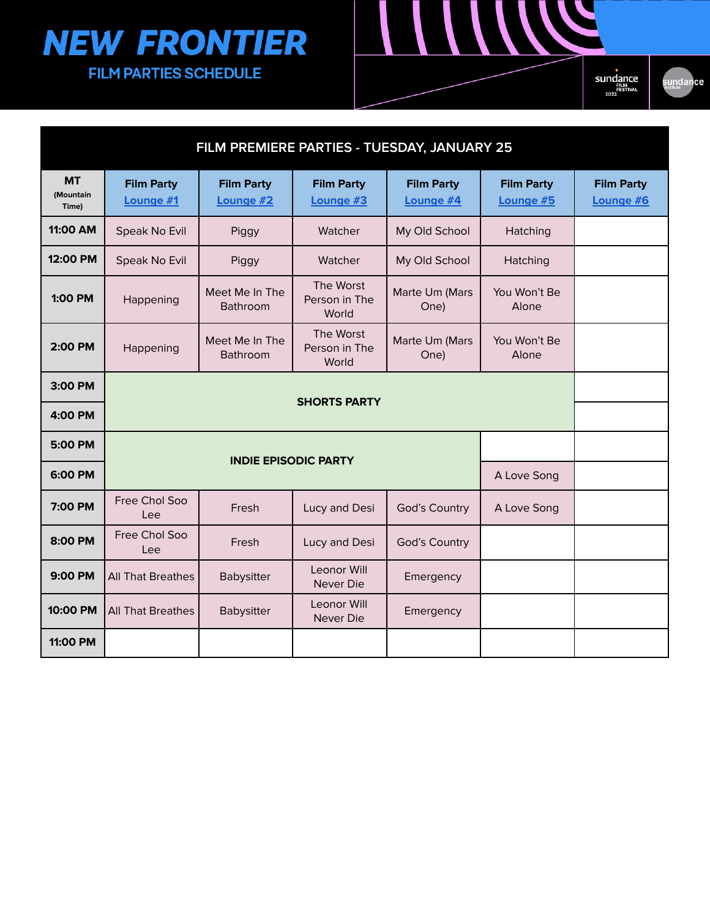| FILM PREMIERE PARTIES - TUESDAY, JANUARY 25 |                                |                                |                                     |                                |                                |                                |  |
|---------------------------------------------|--------------------------------|--------------------------------|-------------------------------------|--------------------------------|--------------------------------|--------------------------------|--|
| <b>MT</b><br>(Mountain<br>Time)             | <b>Film Party</b><br>Lounge #1 | <b>Film Party</b><br>Lounge #2 | <b>Film Party</b><br>Lounge #3      | <b>Film Party</b><br>Lounge #4 | <b>Film Party</b><br>Lounge #5 | <b>Film Party</b><br>Lounge #6 |  |
| 11:00 AM                                    | Speak No Evil                  | Piggy                          | Watcher                             | My Old School                  | Hatching                       |                                |  |
| 12:00 PM                                    | Speak No Evil                  | Piggy                          | Watcher                             | My Old School                  | Hatching                       |                                |  |
| 1:00 PM                                     | Happening                      | Meet Me In The<br>Bathroom     | The Worst<br>Person in The<br>World | Marte Um (Mars<br>One)         | You Won't Be<br>Alone          |                                |  |
| 2:00 PM                                     | Happening                      | Meet Me In The<br>Bathroom     | The Worst<br>Person in The<br>World | Marte Um (Mars<br>One)         | You Won't Be<br>Alone          |                                |  |
| 3:00 PM                                     |                                |                                |                                     |                                |                                |                                |  |
| 4:00 PM                                     |                                |                                | <b>SHORTS PARTY</b>                 |                                |                                |                                |  |
| 5:00 PM                                     |                                |                                |                                     |                                |                                |                                |  |
| 6:00 PM                                     |                                | <b>INDIE EPISODIC PARTY</b>    |                                     |                                | A Love Song                    |                                |  |
| 7:00 PM                                     | Free Chol Soo<br>Lee           | Fresh                          | Lucy and Desi                       | God's Country                  | A Love Song                    |                                |  |
| 8:00 PM                                     | Free Chol Soo<br>Lee           | Fresh                          | Lucy and Desi                       | God's Country                  |                                |                                |  |
| 9:00 PM                                     | All That Breathes              | Babysitter                     | Leonor Will<br>Never Die            | Emergency                      |                                |                                |  |
| 10:00 PM                                    | <b>All That Breathes</b>       | Babysitter                     | Leonor Will<br>Never Die            | Emergency                      |                                |                                |  |
| 11:00 PM                                    |                                |                                |                                     |                                |                                |                                |  |

Sundance sundance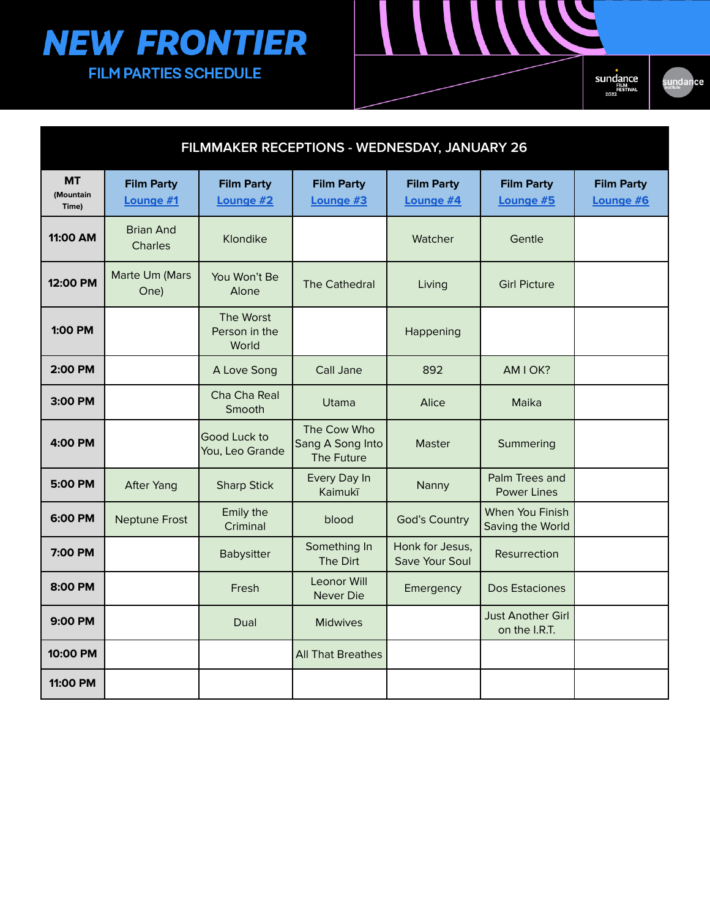Sundance

N

sundance

| FILMMAKER RECEPTIONS - WEDNESDAY, JANUARY 26 |                                |                                     |                                               |                                   |                                           |                                |  |
|----------------------------------------------|--------------------------------|-------------------------------------|-----------------------------------------------|-----------------------------------|-------------------------------------------|--------------------------------|--|
| <b>MT</b><br>(Mountain<br>Time)              | <b>Film Party</b><br>Lounge #1 | <b>Film Party</b><br>Lounge #2      | <b>Film Party</b><br>Lounge #3                | <b>Film Party</b><br>Lounge #4    | <b>Film Party</b><br>Lounge #5            | <b>Film Party</b><br>Lounge #6 |  |
| 11:00 AM                                     | <b>Brian And</b><br>Charles    | Klondike                            |                                               | Watcher                           | Gentle                                    |                                |  |
| 12:00 PM                                     | Marte Um (Mars<br>One)         | You Won't Be<br>Alone               | <b>The Cathedral</b>                          | Living                            | <b>Girl Picture</b>                       |                                |  |
| 1:00 PM                                      |                                | The Worst<br>Person in the<br>World |                                               | Happening                         |                                           |                                |  |
| 2:00 PM                                      |                                | A Love Song                         | Call Jane                                     | 892                               | AM I OK?                                  |                                |  |
| 3:00 PM                                      |                                | Cha Cha Real<br>Smooth              | Utama                                         | Alice                             | Maika                                     |                                |  |
| 4:00 PM                                      |                                | Good Luck to<br>You, Leo Grande     | The Cow Who<br>Sang A Song Into<br>The Future | <b>Master</b>                     | Summering                                 |                                |  |
| 5:00 PM                                      | <b>After Yang</b>              | <b>Sharp Stick</b>                  | Every Day In<br>Kaimukī                       | Nanny                             | Palm Trees and<br><b>Power Lines</b>      |                                |  |
| 6:00 PM                                      | <b>Neptune Frost</b>           | Emily the<br>Criminal               | blood                                         | <b>God's Country</b>              | When You Finish<br>Saving the World       |                                |  |
| 7:00 PM                                      |                                | Babysitter                          | Something In<br>The Dirt                      | Honk for Jesus,<br>Save Your Soul | Resurrection                              |                                |  |
| 8:00 PM                                      |                                | Fresh                               | <b>Leonor Will</b><br>Never Die               | Emergency                         | Dos Estaciones                            |                                |  |
| 9:00 PM                                      |                                | Dual                                | <b>Midwives</b>                               |                                   | <b>Just Another Girl</b><br>on the I.R.T. |                                |  |
| 10:00 PM                                     |                                |                                     | <b>All That Breathes</b>                      |                                   |                                           |                                |  |
| 11:00 PM                                     |                                |                                     |                                               |                                   |                                           |                                |  |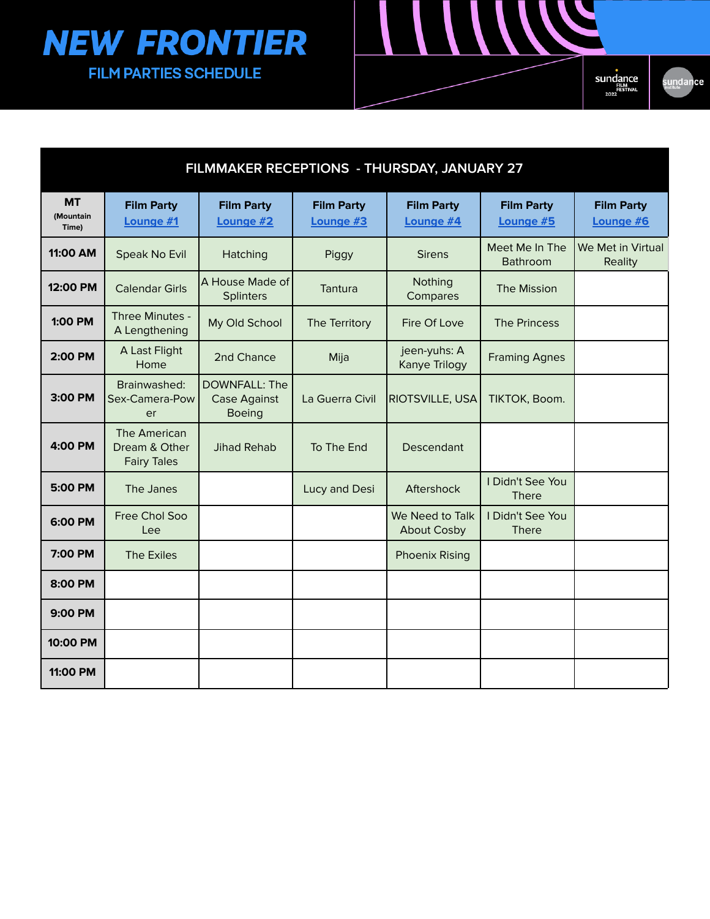

| FILMMAKER RECEPTIONS - THURSDAY, JANUARY 27 |                                                     |                                                              |                                |                                       |                                  |                                |  |
|---------------------------------------------|-----------------------------------------------------|--------------------------------------------------------------|--------------------------------|---------------------------------------|----------------------------------|--------------------------------|--|
| <b>MT</b><br>(Mountain<br>Time)             | <b>Film Party</b><br>Lounge #1                      | <b>Film Party</b><br>Lounge #2                               | <b>Film Party</b><br>Lounge #3 | <b>Film Party</b><br>Lounge #4        | <b>Film Party</b><br>Lounge #5   | <b>Film Party</b><br>Lounge #6 |  |
| 11:00 AM                                    | Speak No Evil                                       | Hatching                                                     | Piggy                          | <b>Sirens</b>                         | Meet Me In The<br>Bathroom       | We Met in Virtual<br>Reality   |  |
| 12:00 PM                                    | <b>Calendar Girls</b>                               | A House Made of<br><b>Splinters</b>                          | Tantura                        | Nothing<br>Compares                   | <b>The Mission</b>               |                                |  |
| 1:00 PM                                     | Three Minutes -<br>A Lengthening                    | My Old School                                                | The Territory                  | Fire Of Love                          | <b>The Princess</b>              |                                |  |
| 2:00 PM                                     | A Last Flight<br>Home                               | 2nd Chance                                                   | Mija                           | jeen-yuhs: A<br>Kanye Trilogy         | <b>Framing Agnes</b>             |                                |  |
| 3:00 PM                                     | Brainwashed:<br>Sex-Camera-Pow<br>er                | <b>DOWNFALL: The</b><br><b>Case Against</b><br><b>Boeing</b> | La Guerra Civil                | <b>RIOTSVILLE, USA</b>                | TIKTOK, Boom.                    |                                |  |
| 4:00 PM                                     | The American<br>Dream & Other<br><b>Fairy Tales</b> | <b>Jihad Rehab</b>                                           | To The End                     | Descendant                            |                                  |                                |  |
| 5:00 PM                                     | The Janes                                           |                                                              | Lucy and Desi                  | Aftershock                            | I Didn't See You<br><b>There</b> |                                |  |
| 6:00 PM                                     | Free Chol Soo<br>Lee                                |                                                              |                                | We Need to Talk<br><b>About Cosby</b> | I Didn't See You<br><b>There</b> |                                |  |
| 7:00 PM                                     | <b>The Exiles</b>                                   |                                                              |                                | <b>Phoenix Rising</b>                 |                                  |                                |  |
| 8:00 PM                                     |                                                     |                                                              |                                |                                       |                                  |                                |  |
| 9:00 PM                                     |                                                     |                                                              |                                |                                       |                                  |                                |  |
| 10:00 PM                                    |                                                     |                                                              |                                |                                       |                                  |                                |  |
| 11:00 PM                                    |                                                     |                                                              |                                |                                       |                                  |                                |  |